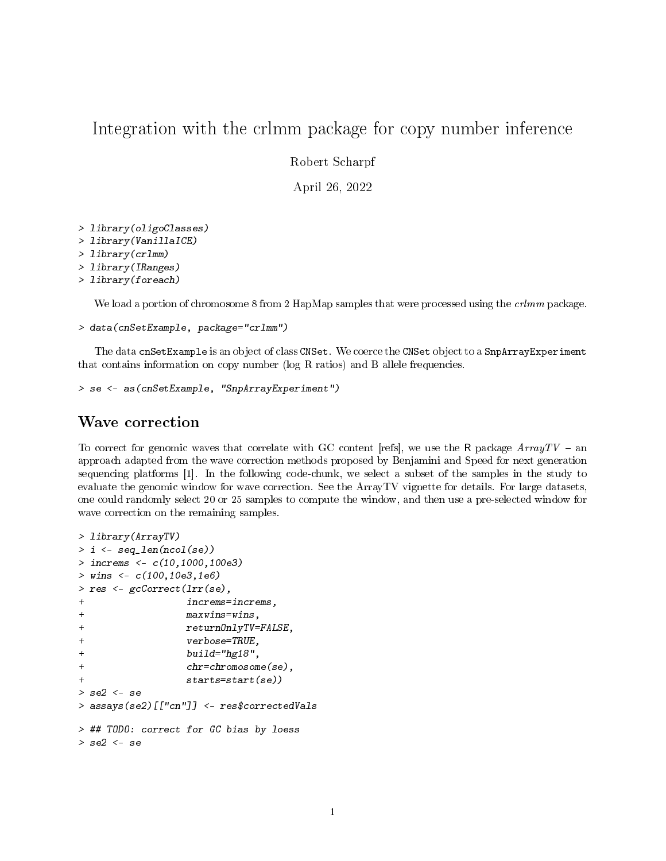# Integration with the crlmm package for copy number inference

Robert Scharpf

April 26, 2022

```
> library(oligoClasses)
```
- > library(VanillaICE)
- > library(crlmm)
- > library(IRanges)

```
> library(foreach)
```
We load a portion of chromosome 8 from 2 HapMap samples that were processed using the *crlmm* package.

```
> data(cnSetExample, package="crlmm")
```
The data cnSetExample is an object of class CNSet. We coerce the CNSet object to a SnpArrayExperiment that contains information on copy number (log R ratios) and B allele frequencies.

```
> se <- as(cnSetExample, "SnpArrayExperiment")
```
## Wave correction

To correct for genomic waves that correlate with GC content [refs], we use the R package  $ArrayTV - an$ approach adapted from the wave correction methods proposed by Benjamini and Speed for next generation sequencing platforms [1]. In the following code-chunk, we select a subset of the samples in the study to evaluate the genomic window for wave correction. See the ArrayTV vignette for details. For large datasets, one could randomly select 20 or 25 samples to compute the window, and then use a pre-selected window for wave correction on the remaining samples.

```
> library(ArrayTV)
> i <- seq_len(ncol(se))
> increms <- c(10,1000,100e3)
> wins <-c(100, 10e3, 1e6)> res <- gcCorrect(lrr(se),
+ increms=increms,
+ maxwins=wins,
+ returnOnlyTV=FALSE,
+ verbose=TRUE,
+ build="hg18",
+ chr=chromosome(se),
              start(se)> se2 <- se
> assays(se2)[["cn"]] <- res$correctedVals
> ## TODO: correct for GC bias by loess
> se2 <- se
```